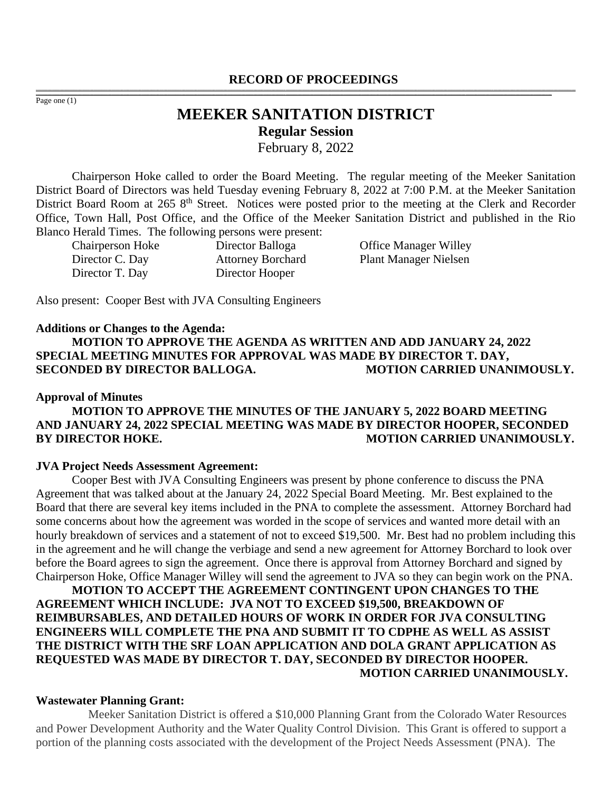#### **RECORD OF PROCEEDINGS** ,一个人都是不能在这里的,我们就是不能在这里的,我们就是我们的,我们就是我们的。""我们,我们就是我们的,我们就是我们的。""我们,我们就是我们的。""我们,我们

Page one (1)

# **MEEKER SANITATION DISTRICT Regular Session**

,我们也不能会在这里,我们的人们就会不能会在这里,我们也不能会不能会不能会不能会不能会不能会不能会不能会。""我们的人们就会不能会不能会不能会不能会不能会不能会

February 8, 2022

Chairperson Hoke called to order the Board Meeting. The regular meeting of the Meeker Sanitation District Board of Directors was held Tuesday evening February 8, 2022 at 7:00 P.M. at the Meeker Sanitation District Board Room at 265 8<sup>th</sup> Street. Notices were posted prior to the meeting at the Clerk and Recorder Office, Town Hall, Post Office, and the Office of the Meeker Sanitation District and published in the Rio Blanco Herald Times. The following persons were present:

Director T. Day Director Hooper

Chairperson Hoke Director Balloga Office Manager Willey Director C. Day Attorney Borchard Plant Manager Nielsen

Also present: Cooper Best with JVA Consulting Engineers

#### **Additions or Changes to the Agenda:**

**MOTION TO APPROVE THE AGENDA AS WRITTEN AND ADD JANUARY 24, 2022 SPECIAL MEETING MINUTES FOR APPROVAL WAS MADE BY DIRECTOR T. DAY, SECONDED BY DIRECTOR BALLOGA. MOTION CARRIED UNANIMOUSLY.**

#### **Approval of Minutes**

# **MOTION TO APPROVE THE MINUTES OF THE JANUARY 5, 2022 BOARD MEETING AND JANUARY 24, 2022 SPECIAL MEETING WAS MADE BY DIRECTOR HOOPER, SECONDED BY DIRECTOR HOKE.** MOTION CARRIED UNANIMOUSLY.

#### **JVA Project Needs Assessment Agreement:**

Cooper Best with JVA Consulting Engineers was present by phone conference to discuss the PNA Agreement that was talked about at the January 24, 2022 Special Board Meeting. Mr. Best explained to the Board that there are several key items included in the PNA to complete the assessment. Attorney Borchard had some concerns about how the agreement was worded in the scope of services and wanted more detail with an hourly breakdown of services and a statement of not to exceed \$19,500. Mr. Best had no problem including this in the agreement and he will change the verbiage and send a new agreement for Attorney Borchard to look over before the Board agrees to sign the agreement. Once there is approval from Attorney Borchard and signed by Chairperson Hoke, Office Manager Willey will send the agreement to JVA so they can begin work on the PNA.

**MOTION TO ACCEPT THE AGREEMENT CONTINGENT UPON CHANGES TO THE AGREEMENT WHICH INCLUDE: JVA NOT TO EXCEED \$19,500, BREAKDOWN OF REIMBURSABLES, AND DETAILED HOURS OF WORK IN ORDER FOR JVA CONSULTING ENGINEERS WILL COMPLETE THE PNA AND SUBMIT IT TO CDPHE AS WELL AS ASSIST THE DISTRICT WITH THE SRF LOAN APPLICATION AND DOLA GRANT APPLICATION AS REQUESTED WAS MADE BY DIRECTOR T. DAY, SECONDED BY DIRECTOR HOOPER. MOTION CARRIED UNANIMOUSLY.**

#### **Wastewater Planning Grant:**

Meeker Sanitation District is offered a \$10,000 Planning Grant from the Colorado Water Resources and Power Development Authority and the Water Quality Control Division. This Grant is offered to support a portion of the planning costs associated with the development of the Project Needs Assessment (PNA). The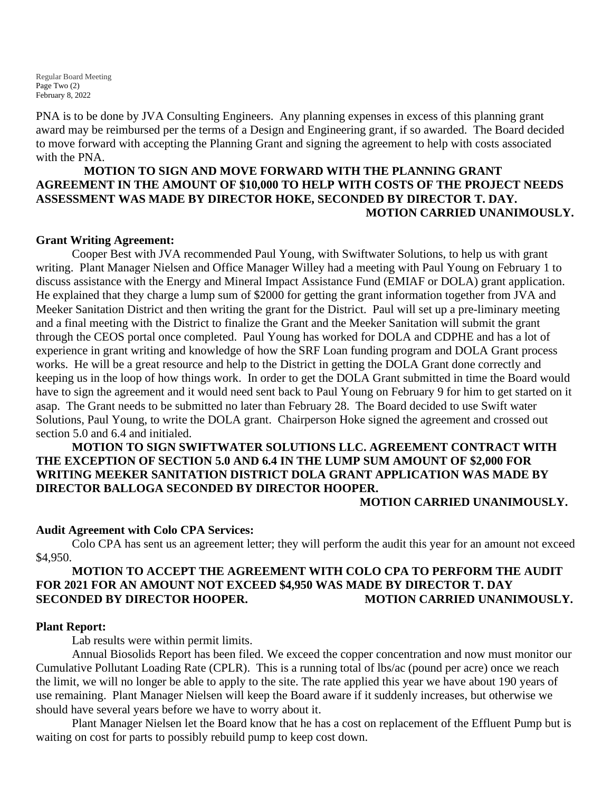Regular Board Meeting Page Two (2) February 8, 2022

PNA is to be done by JVA Consulting Engineers. Any planning expenses in excess of this planning grant award may be reimbursed per the terms of a Design and Engineering grant, if so awarded. The Board decided to move forward with accepting the Planning Grant and signing the agreement to help with costs associated with the PNA.

# **MOTION TO SIGN AND MOVE FORWARD WITH THE PLANNING GRANT AGREEMENT IN THE AMOUNT OF \$10,000 TO HELP WITH COSTS OF THE PROJECT NEEDS ASSESSMENT WAS MADE BY DIRECTOR HOKE, SECONDED BY DIRECTOR T. DAY. MOTION CARRIED UNANIMOUSLY.**

#### **Grant Writing Agreement:**

Cooper Best with JVA recommended Paul Young, with Swiftwater Solutions, to help us with grant writing. Plant Manager Nielsen and Office Manager Willey had a meeting with Paul Young on February 1 to discuss assistance with the Energy and Mineral Impact Assistance Fund (EMIAF or DOLA) grant application. He explained that they charge a lump sum of \$2000 for getting the grant information together from JVA and Meeker Sanitation District and then writing the grant for the District. Paul will set up a pre-liminary meeting and a final meeting with the District to finalize the Grant and the Meeker Sanitation will submit the grant through the CEOS portal once completed. Paul Young has worked for DOLA and CDPHE and has a lot of experience in grant writing and knowledge of how the SRF Loan funding program and DOLA Grant process works. He will be a great resource and help to the District in getting the DOLA Grant done correctly and keeping us in the loop of how things work. In order to get the DOLA Grant submitted in time the Board would have to sign the agreement and it would need sent back to Paul Young on February 9 for him to get started on it asap. The Grant needs to be submitted no later than February 28. The Board decided to use Swift water Solutions, Paul Young, to write the DOLA grant. Chairperson Hoke signed the agreement and crossed out section 5.0 and 6.4 and initialed.

# **MOTION TO SIGN SWIFTWATER SOLUTIONS LLC. AGREEMENT CONTRACT WITH THE EXCEPTION OF SECTION 5.0 AND 6.4 IN THE LUMP SUM AMOUNT OF \$2,000 FOR WRITING MEEKER SANITATION DISTRICT DOLA GRANT APPLICATION WAS MADE BY DIRECTOR BALLOGA SECONDED BY DIRECTOR HOOPER.**

#### **MOTION CARRIED UNANIMOUSLY.**

#### **Audit Agreement with Colo CPA Services:**

Colo CPA has sent us an agreement letter; they will perform the audit this year for an amount not exceed \$4,950.

# **MOTION TO ACCEPT THE AGREEMENT WITH COLO CPA TO PERFORM THE AUDIT FOR 2021 FOR AN AMOUNT NOT EXCEED \$4,950 WAS MADE BY DIRECTOR T. DAY SECONDED BY DIRECTOR HOOPER. MOTION CARRIED UNANIMOUSLY.**

#### **Plant Report:**

Lab results were within permit limits.

Annual Biosolids Report has been filed. We exceed the copper concentration and now must monitor our Cumulative Pollutant Loading Rate (CPLR). This is a running total of lbs/ac (pound per acre) once we reach the limit, we will no longer be able to apply to the site. The rate applied this year we have about 190 years of use remaining. Plant Manager Nielsen will keep the Board aware if it suddenly increases, but otherwise we should have several years before we have to worry about it.

Plant Manager Nielsen let the Board know that he has a cost on replacement of the Effluent Pump but is waiting on cost for parts to possibly rebuild pump to keep cost down.